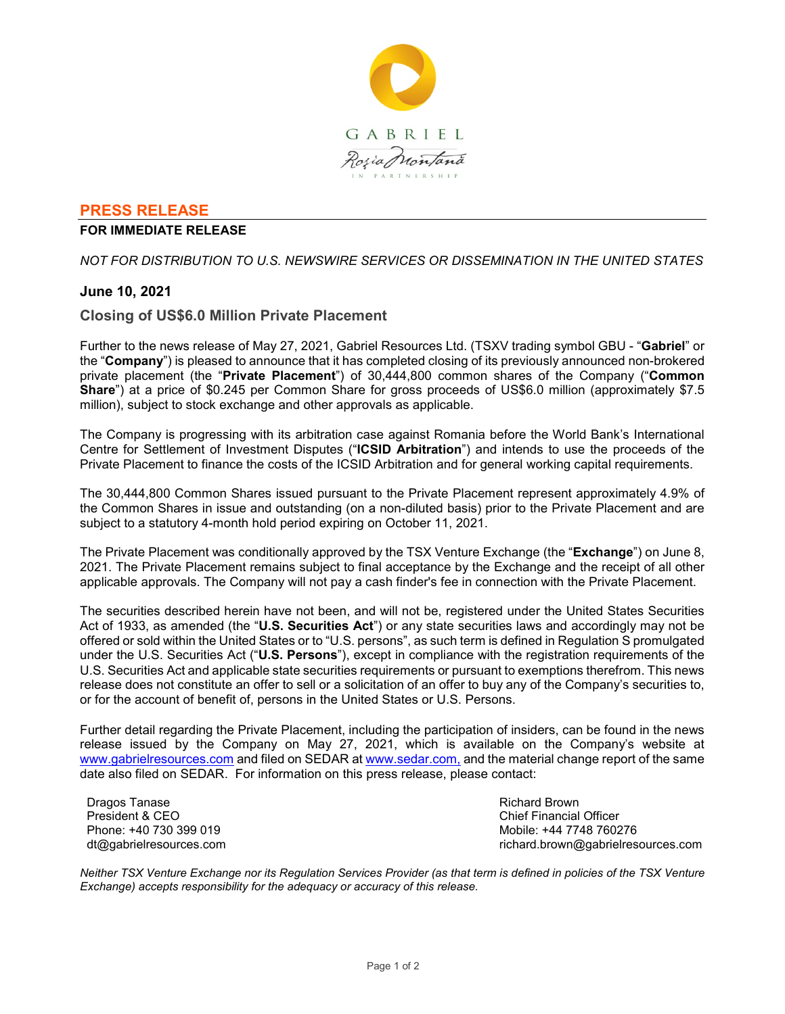

## **PRESS RELEASE**

### **FOR IMMEDIATE RELEASE**

*NOT FOR DISTRIBUTION TO U.S. NEWSWIRE SERVICES OR DISSEMINATION IN THE UNITED STATES*

## **June 10, 2021**

## **Closing of US\$6.0 Million Private Placement**

Further to the news release of May 27, 2021, Gabriel Resources Ltd. (TSXV trading symbol GBU - "**Gabriel**" or the "**Company**") is pleased to announce that it has completed closing of its previously announced non-brokered private placement (the "**Private Placement**") of 30,444,800 common shares of the Company ("**Common Share**") at a price of \$0.245 per Common Share for gross proceeds of US\$6.0 million (approximately \$7.5 million), subject to stock exchange and other approvals as applicable.

The Company is progressing with its arbitration case against Romania before the World Bank's International Centre for Settlement of Investment Disputes ("**ICSID Arbitration**") and intends to use the proceeds of the Private Placement to finance the costs of the ICSID Arbitration and for general working capital requirements.

The 30,444,800 Common Shares issued pursuant to the Private Placement represent approximately 4.9% of the Common Shares in issue and outstanding (on a non-diluted basis) prior to the Private Placement and are subject to a statutory 4-month hold period expiring on October 11, 2021.

The Private Placement was conditionally approved by the TSX Venture Exchange (the "**Exchange**") on June 8, 2021. The Private Placement remains subject to final acceptance by the Exchange and the receipt of all other applicable approvals. The Company will not pay a cash finder's fee in connection with the Private Placement.

The securities described herein have not been, and will not be, registered under the United States Securities Act of 1933, as amended (the "**U.S. Securities Act**") or any state securities laws and accordingly may not be offered or sold within the United States or to "U.S. persons", as such term is defined in Regulation S promulgated under the U.S. Securities Act ("**U.S. Persons**"), except in compliance with the registration requirements of the U.S. Securities Act and applicable state securities requirements or pursuant to exemptions therefrom. This news release does not constitute an offer to sell or a solicitation of an offer to buy any of the Company's securities to, or for the account of benefit of, persons in the United States or U.S. Persons.

Further detail regarding the Private Placement, including the participation of insiders, can be found in the news release issued by the Company on May 27, 2021, which is available on the Company's website at www.gabrielresources.com and filed on SEDAR at www.sedar.com, and the material change report of the same date also filed on SEDAR. For information on this press release, please contact:

Dragos Tanase President & CEO Phone: +40 730 399 019 dt@gabrielresources.com Richard Brown Chief Financial Officer Mobile: +44 7748 760276 richard.brown@gabrielresources.com

*Neither TSX Venture Exchange nor its Regulation Services Provider (as that term is defined in policies of the TSX Venture Exchange) accepts responsibility for the adequacy or accuracy of this release.*